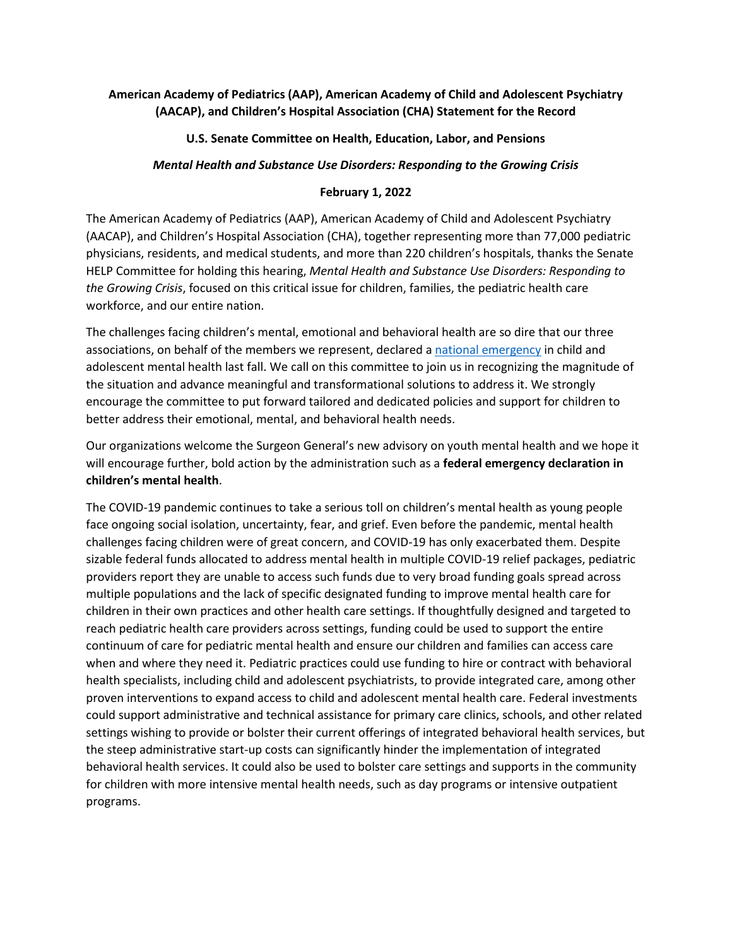## **American Academy of Pediatrics (AAP), American Academy of Child and Adolescent Psychiatry (AACAP), and Children's Hospital Association (CHA) Statement for the Record**

## **U.S. Senate Committee on Health, Education, Labor, and Pensions**

## *Mental Health and Substance Use Disorders: Responding to the Growing Crisis*

## **February 1, 2022**

The American Academy of Pediatrics (AAP), American Academy of Child and Adolescent Psychiatry (AACAP), and Children's Hospital Association (CHA), together representing more than 77,000 pediatric physicians, residents, and medical students, and more than 220 children's hospitals, thanks the Senate HELP Committee for holding this hearing, *Mental Health and Substance Use Disorders: Responding to the Growing Crisis*, focused on this critical issue for children, families, the pediatric health care workforce, and our entire nation.

The challenges facing children's mental, emotional and behavioral health are so dire that our three associations, on behalf of the members we represent, declared a [national emergency](https://www.aap.org/en/advocacy/child-and-adolescent-healthy-mental-development/aap-aacap-cha-declaration-of-a-national-emergency-in-child-and-adolescent-mental-health/) in child and adolescent mental health last fall. We call on this committee to join us in recognizing the magnitude of the situation and advance meaningful and transformational solutions to address it. We strongly encourage the committee to put forward tailored and dedicated policies and support for children to better address their emotional, mental, and behavioral health needs.

Our organizations welcome the Surgeon General's new advisory on youth mental health and we hope it will encourage further, bold action by the administration such as a **federal emergency declaration in children's mental health**.

The COVID-19 pandemic continues to take a serious toll on children's mental health as young people face ongoing social isolation, uncertainty, fear, and grief. Even before the pandemic, mental health challenges facing children were of great concern, and COVID-19 has only exacerbated them. Despite sizable federal funds allocated to address mental health in multiple COVID-19 relief packages, pediatric providers report they are unable to access such funds due to very broad funding goals spread across multiple populations and the lack of specific designated funding to improve mental health care for children in their own practices and other health care settings. If thoughtfully designed and targeted to reach pediatric health care providers across settings, funding could be used to support the entire continuum of care for pediatric mental health and ensure our children and families can access care when and where they need it. Pediatric practices could use funding to hire or contract with behavioral health specialists, including child and adolescent psychiatrists, to provide integrated care, among other proven interventions to expand access to child and adolescent mental health care. Federal investments could support administrative and technical assistance for primary care clinics, schools, and other related settings wishing to provide or bolster their current offerings of integrated behavioral health services, but the steep administrative start-up costs can significantly hinder the implementation of integrated behavioral health services. It could also be used to bolster care settings and supports in the community for children with more intensive mental health needs, such as day programs or intensive outpatient programs.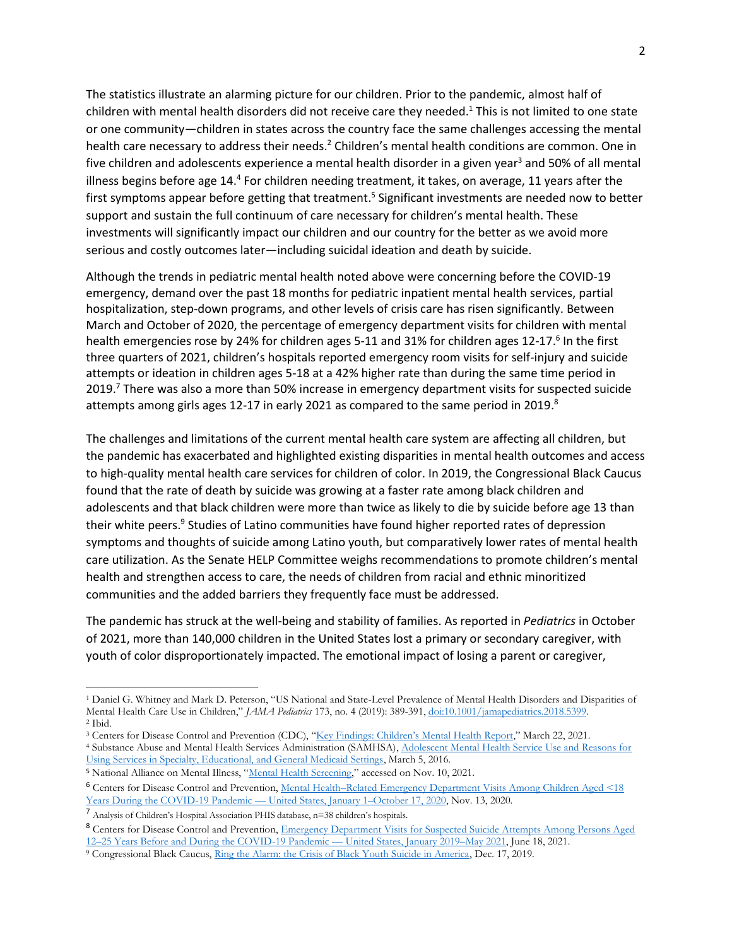The statistics illustrate an alarming picture for our children. Prior to the pandemic, almost half of children with mental health disorders did not receive care they needed.<sup>1</sup> This is not limited to one state or one community—children in states across the country face the same challenges accessing the mental health care necessary to address their needs.<sup>2</sup> Children's mental health conditions are common. One in five children and adolescents experience a mental health disorder in a given year<sup>3</sup> and 50% of all mental illness begins before age 14.<sup>4</sup> For children needing treatment, it takes, on average, 11 years after the first symptoms appear before getting that treatment.<sup>5</sup> Significant investments are needed now to better support and sustain the full continuum of care necessary for children's mental health. These investments will significantly impact our children and our country for the better as we avoid more serious and costly outcomes later—including suicidal ideation and death by suicide.

Although the trends in pediatric mental health noted above were concerning before the COVID-19 emergency, demand over the past 18 months for pediatric inpatient mental health services, partial hospitalization, step-down programs, and other levels of crisis care has risen significantly. Between March and October of 2020, the percentage of emergency department visits for children with mental health emergencies rose by 24% for children ages 5-11 and 31% for children ages 12-17.<sup>6</sup> In the first three quarters of 2021, children's hospitals reported emergency room visits for self-injury and suicide attempts or ideation in children ages 5-18 at a 42% higher rate than during the same time period in 2019.<sup>7</sup> There was also a more than 50% increase in emergency department visits for suspected suicide attempts among girls ages 12-17 in early 2021 as compared to the same period in 2019. $^8$ 

The challenges and limitations of the current mental health care system are affecting all children, but the pandemic has exacerbated and highlighted existing disparities in mental health outcomes and access to high-quality mental health care services for children of color. In 2019, the Congressional Black Caucus found that the rate of death by suicide was growing at a faster rate among black children and adolescents and that black children were more than twice as likely to die by suicide before age 13 than their white peers.<sup>9</sup> Studies of Latino communities have found higher reported rates of depression symptoms and thoughts of suicide among Latino youth, but comparatively lower rates of mental health care utilization. As the Senate HELP Committee weighs recommendations to promote children's mental health and strengthen access to care, the needs of children from racial and ethnic minoritized communities and the added barriers they frequently face must be addressed.

The pandemic has struck at the well-being and stability of families. As reported in *Pediatrics* in October of 2021, more than 140,000 children in the United States lost a primary or secondary caregiver, with youth of color disproportionately impacted. The emotional impact of losing a parent or caregiver,

<sup>1</sup> Daniel G. Whitney and Mark D. Peterson, "US National and State-Level Prevalence of Mental Health Disorders and Disparities of Mental Health Care Use in Children," *JAMA Pediatrics* 173, no. 4 (2019): 389-391[, doi:10.1001/jamapediatrics.2018.5399.](https://jamanetwork.com/journals/jamapediatrics/fullarticle/2724377) <sup>2</sup> Ibid.

<sup>&</sup>lt;sup>3</sup> Centers for Disease Control and Prevention (CDC), ["Key Findings: Children's Mental Health Report,"](https://www.cdc.gov/childrensmentalhealth/features/kf-childrens-mental-health-report.html) March 22, 2021. <sup>4</sup> Substance Abuse and Mental Health Services Administration (SAMHSA), [Adolescent Mental Health Service Use and Reasons for](https://www.samhsa.gov/data/sites/default/files/report_1973/ShortReport-1973.html)  [Using Services in Specialty, Educational, and General Medicaid Settings,](https://www.samhsa.gov/data/sites/default/files/report_1973/ShortReport-1973.html) March 5, 2016.

<sup>5</sup> National Alliance on Mental Illness, "[Mental Health Screening](https://www.nami.org/Learn-More/Mental-Health-Public-Policy/Mental-Health-Screening)," accessed on Nov. 10, 2021.

<sup>6</sup> Centers for Disease Control and Prevention, Mental Health–[Related Emergency Department Visits Among Children Aged <18](https://www.cdc.gov/mmwr/volumes/69/wr/mm6945a3.htm)  [Years During the COVID-19 Pandemic](https://www.cdc.gov/mmwr/volumes/69/wr/mm6945a3.htm) — United States, January 1–October 17, 2020, Nov. 13, 2020.

<sup>7</sup> Analysis of Children's Hospital Association PHIS database, n=38 children's hospitals.

<sup>&</sup>lt;sup>8</sup> Centers for Disease Control and Prevention, Emergency Department Visits for Suspected Suicide Attempts Among Persons Aged 12–[25 Years Before and During the COVID-19](https://www.cdc.gov/mmwr/volumes/70/wr/mm7024e1.htm) Pandemic — United States, January 2019–May 2021, June 18, 2021.

<sup>9</sup> Congressional Black Caucus[, Ring the Alarm: the Crisis of Black Youth Suicide in America,](https://watsoncoleman.house.gov/uploadedfiles/full_taskforce_report.pdf.) Dec. 17, 2019.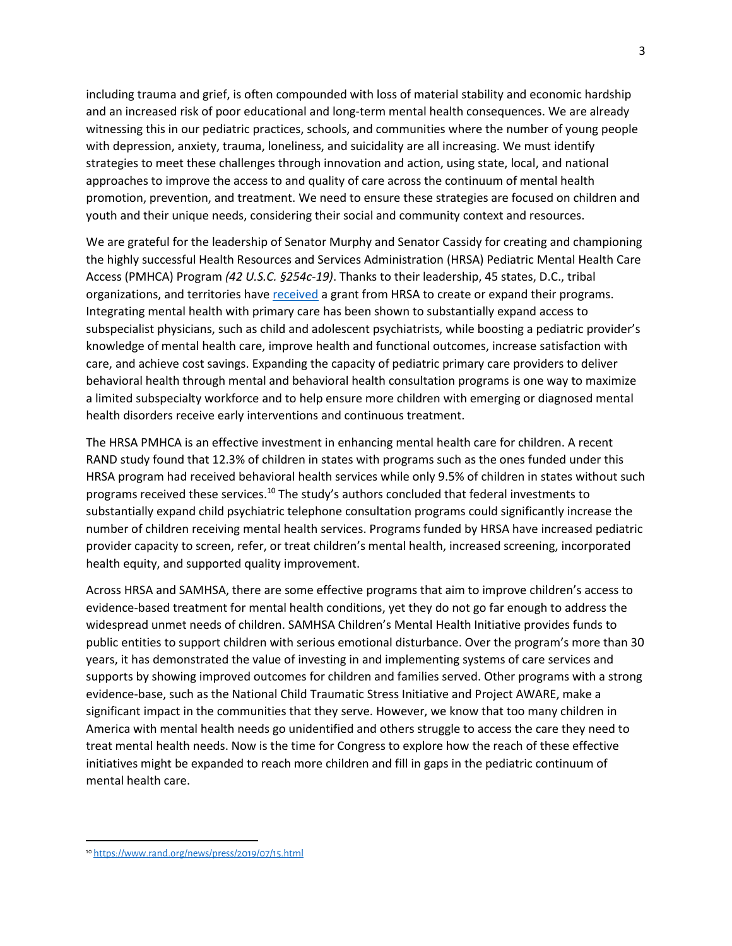including trauma and grief, is often compounded with loss of material stability and economic hardship and an increased risk of poor educational and long-term mental health consequences. We are already witnessing this in our pediatric practices, schools, and communities where the number of young people with depression, anxiety, trauma, loneliness, and suicidality are all increasing. We must identify strategies to meet these challenges through innovation and action, using state, local, and national approaches to improve the access to and quality of care across the continuum of mental health promotion, prevention, and treatment. We need to ensure these strategies are focused on children and youth and their unique needs, considering their social and community context and resources.

We are grateful for the leadership of Senator Murphy and Senator Cassidy for creating and championing the highly successful Health Resources and Services Administration (HRSA) Pediatric Mental Health Care Access (PMHCA) Program *(42 U.S.C. §254c-19)*. Thanks to their leadership, 45 states, D.C., tribal organizations, and territories have [received](https://mchb.hrsa.gov/training/projects.asp?program=34) a grant from HRSA to create or expand their programs. Integrating mental health with primary care has been shown to substantially expand access to subspecialist physicians, such as child and adolescent psychiatrists, while boosting a pediatric provider's knowledge of mental health care, improve health and functional outcomes, increase satisfaction with care, and achieve cost savings. Expanding the capacity of pediatric primary care providers to deliver behavioral health through mental and behavioral health consultation programs is one way to maximize a limited subspecialty workforce and to help ensure more children with emerging or diagnosed mental health disorders receive early interventions and continuous treatment.

The HRSA PMHCA is an effective investment in enhancing mental health care for children. A recent RAND study found that 12.3% of children in states with programs such as the ones funded under this HRSA program had received behavioral health services while only 9.5% of children in states without such programs received these services.<sup>10</sup> The study's authors concluded that federal investments to substantially expand child psychiatric telephone consultation programs could significantly increase the number of children receiving mental health services. Programs funded by HRSA have increased pediatric provider capacity to screen, refer, or treat children's mental health, increased screening, incorporated health equity, and supported quality improvement.

Across HRSA and SAMHSA, there are some effective programs that aim to improve children's access to evidence-based treatment for mental health conditions, yet they do not go far enough to address the widespread unmet needs of children. SAMHSA Children's Mental Health Initiative provides funds to public entities to support children with serious emotional disturbance. Over the program's more than 30 years, it has demonstrated the value of investing in and implementing systems of care services and supports by showing improved outcomes for children and families served. Other programs with a strong evidence-base, such as the National Child Traumatic Stress Initiative and Project AWARE, make a significant impact in the communities that they serve. However, we know that too many children in America with mental health needs go unidentified and others struggle to access the care they need to treat mental health needs. Now is the time for Congress to explore how the reach of these effective initiatives might be expanded to reach more children and fill in gaps in the pediatric continuum of mental health care.

<sup>10</sup> <https://www.rand.org/news/press/2019/07/15.html>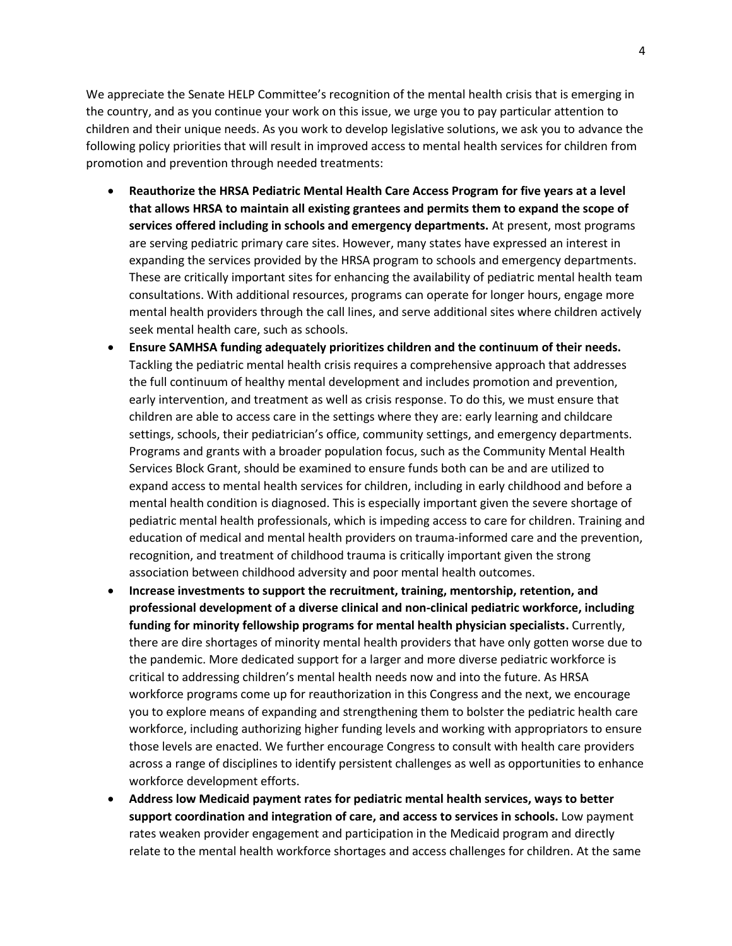We appreciate the Senate HELP Committee's recognition of the mental health crisis that is emerging in the country, and as you continue your work on this issue, we urge you to pay particular attention to children and their unique needs. As you work to develop legislative solutions, we ask you to advance the following policy priorities that will result in improved access to mental health services for children from promotion and prevention through needed treatments:

- **Reauthorize the HRSA Pediatric Mental Health Care Access Program for five years at a level that allows HRSA to maintain all existing grantees and permits them to expand the scope of services offered including in schools and emergency departments.** At present, most programs are serving pediatric primary care sites. However, many states have expressed an interest in expanding the services provided by the HRSA program to schools and emergency departments. These are critically important sites for enhancing the availability of pediatric mental health team consultations. With additional resources, programs can operate for longer hours, engage more mental health providers through the call lines, and serve additional sites where children actively seek mental health care, such as schools.
- **Ensure SAMHSA funding adequately prioritizes children and the continuum of their needs.** Tackling the pediatric mental health crisis requires a comprehensive approach that addresses the full continuum of healthy mental development and includes promotion and prevention, early intervention, and treatment as well as crisis response. To do this, we must ensure that children are able to access care in the settings where they are: early learning and childcare settings, schools, their pediatrician's office, community settings, and emergency departments. Programs and grants with a broader population focus, such as the Community Mental Health Services Block Grant, should be examined to ensure funds both can be and are utilized to expand access to mental health services for children, including in early childhood and before a mental health condition is diagnosed. This is especially important given the severe shortage of pediatric mental health professionals, which is impeding access to care for children. Training and education of medical and mental health providers on trauma-informed care and the prevention, recognition, and treatment of childhood trauma is critically important given the strong association between childhood adversity and poor mental health outcomes.
- **Increase investments to support the recruitment, training, mentorship, retention, and professional development of a diverse clinical and non-clinical pediatric workforce, including funding for minority fellowship programs for mental health physician specialists.** Currently, there are dire shortages of minority mental health providers that have only gotten worse due to the pandemic. More dedicated support for a larger and more diverse pediatric workforce is critical to addressing children's mental health needs now and into the future. As HRSA workforce programs come up for reauthorization in this Congress and the next, we encourage you to explore means of expanding and strengthening them to bolster the pediatric health care workforce, including authorizing higher funding levels and working with appropriators to ensure those levels are enacted. We further encourage Congress to consult with health care providers across a range of disciplines to identify persistent challenges as well as opportunities to enhance workforce development efforts.
- **Address low Medicaid payment rates for pediatric mental health services, ways to better support coordination and integration of care, and access to services in schools.** Low payment rates weaken provider engagement and participation in the Medicaid program and directly relate to the mental health workforce shortages and access challenges for children. At the same